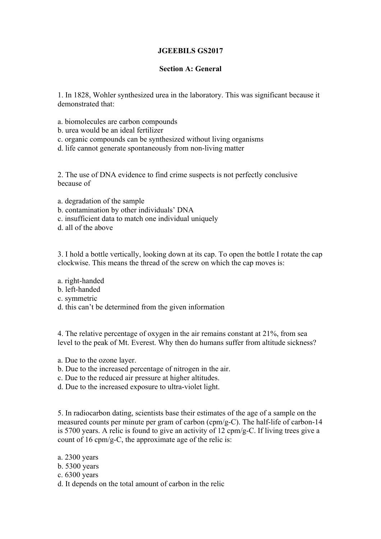# **JGEEBILS GS2017**

## **Section A: General**

1. In 1828, Wohler synthesized urea in the laboratory. This was significant because it demonstrated that:

- a. biomolecules are carbon compounds
- b. urea would be an ideal fertilizer
- c. organic compounds can be synthesized without living organisms
- d. life cannot generate spontaneously from non-living matter

2. The use of DNA evidence to find crime suspects is not perfectly conclusive because of

- a. degradation of the sample
- b. contamination by other individuals' DNA
- c. insufficient data to match one individual uniquely
- d. all of the above

3. I hold a bottle vertically, looking down at its cap. To open the bottle I rotate the cap clockwise. This means the thread of the screw on which the cap moves is:

- a. right-handed
- b. left-handed
- c. symmetric
- d. this can't be determined from the given information

4. The relative percentage of oxygen in the air remains constant at 21%, from sea level to the peak of Mt. Everest. Why then do humans suffer from altitude sickness?

- a. Due to the ozone layer.
- b. Due to the increased percentage of nitrogen in the air.
- c. Due to the reduced air pressure at higher altitudes.
- d. Due to the increased exposure to ultra-violet light.

5. In radiocarbon dating, scientists base their estimates of the age of a sample on the measured counts per minute per gram of carbon (cpm/g-C). The half-life of carbon-14 is 5700 years. A relic is found to give an activity of 12 cpm/g-C. If living trees give a count of 16 cpm/g-C, the approximate age of the relic is:

- a. 2300 years
- b. 5300 years
- c. 6300 years
- d. It depends on the total amount of carbon in the relic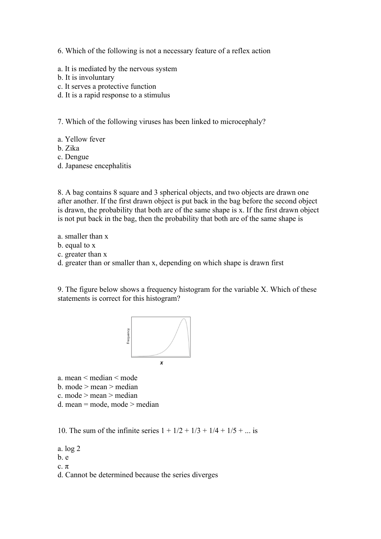6. Which of the following is not a necessary feature of a reflex action

- a. It is mediated by the nervous system
- b. It is involuntary
- c. It serves a protective function
- d. It is a rapid response to a stimulus

7. Which of the following viruses has been linked to microcephaly?

- a. Yellow fever
- b. Zika
- c. Dengue
- d. Japanese encephalitis

8. A bag contains 8 square and 3 spherical objects, and two objects are drawn one after another. If the first drawn object is put back in the bag before the second object is drawn, the probability that both are of the same shape is x. If the first drawn object is not put back in the bag, then the probability that both are of the same shape is

- a. smaller than x
- b. equal to x
- c. greater than x
- d. greater than or smaller than x, depending on which shape is drawn first

9. The figure below shows a frequency histogram for the variable X. Which of these statements is correct for this histogram?



a. mean < median < mode b. mode > mean > median

c. mode > mean > median

d. mean = mode, mode > median

10. The sum of the infinite series  $1 + 1/2 + 1/3 + 1/4 + 1/5 + ...$  is

a. log 2

- b. e
- c.  $\pi$

d. Cannot be determined because the series diverges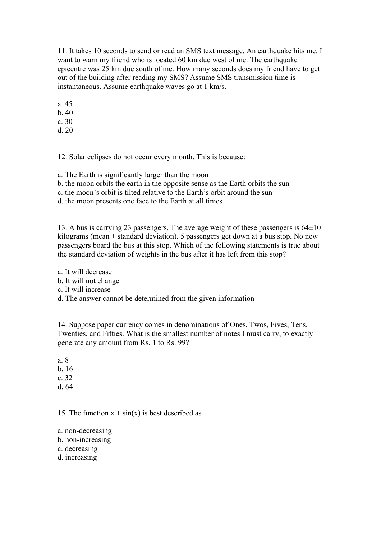11. It takes 10 seconds to send or read an SMS text message. An earthquake hits me. I want to warn my friend who is located 60 km due west of me. The earthquake epicentre was 25 km due south of me. How many seconds does my friend have to get out of the building after reading my SMS? Assume SMS transmission time is instantaneous. Assume earthquake waves go at 1 km/s.

a. 45

b. 40

c. 30 d. 20

12. Solar eclipses do not occur every month. This is because:

a. The Earth is significantly larger than the moon

b. the moon orbits the earth in the opposite sense as the Earth orbits the sun

c. the moon's orbit is tilted relative to the Earth's orbit around the sun

d. the moon presents one face to the Earth at all times

13. A bus is carrying 23 passengers. The average weight of these passengers is 64±10 kilograms (mean  $\pm$  standard deviation). 5 passengers get down at a bus stop. No new passengers board the bus at this stop. Which of the following statements is true about the standard deviation of weights in the bus after it has left from this stop?

a. It will decrease

b. It will not change

c. It will increase

d. The answer cannot be determined from the given information

14. Suppose paper currency comes in denominations of Ones, Twos, Fives, Tens, Twenties, and Fifties. What is the smallest number of notes I must carry, to exactly generate any amount from Rs. 1 to Rs. 99?

a. 8

b. 16

c. 32

d. 64

15. The function  $x + sin(x)$  is best described as

a. non-decreasing

b. non-increasing

c. decreasing

d. increasing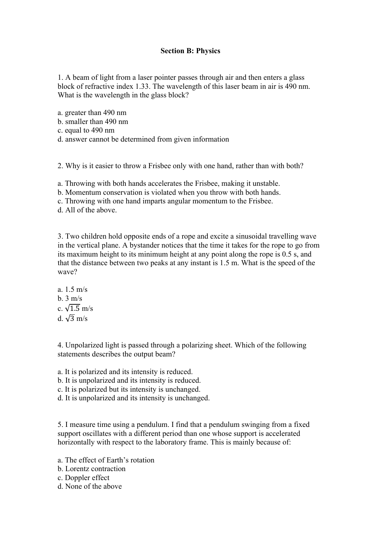## **Section B: Physics**

1. A beam of light from a laser pointer passes through air and then enters a glass block of refractive index 1.33. The wavelength of this laser beam in air is 490 nm. What is the wavelength in the glass block?

a. greater than 490 nm

b. smaller than 490 nm

c. equal to 490 nm

d. answer cannot be determined from given information

2. Why is it easier to throw a Frisbee only with one hand, rather than with both?

a. Throwing with both hands accelerates the Frisbee, making it unstable.

b. Momentum conservation is violated when you throw with both hands.

c. Throwing with one hand imparts angular momentum to the Frisbee.

d. All of the above.

3. Two children hold opposite ends of a rope and excite a sinusoidal travelling wave in the vertical plane. A bystander notices that the time it takes for the rope to go from its maximum height to its minimum height at any point along the rope is 0.5 s, and that the distance between two peaks at any instant is 1.5 m. What is the speed of the wave?

a. 1.5 m/s b.  $3 \text{ m/s}$ c.  $\sqrt{1.5}$  m/s d.  $\sqrt{3}$  m/s

4. Unpolarized light is passed through a polarizing sheet. Which of the following statements describes the output beam?

- a. It is polarized and its intensity is reduced.
- b. It is unpolarized and its intensity is reduced.
- c. It is polarized but its intensity is unchanged.
- d. It is unpolarized and its intensity is unchanged.

5. I measure time using a pendulum. I find that a pendulum swinging from a fixed support oscillates with a different period than one whose support is accelerated horizontally with respect to the laboratory frame. This is mainly because of:

a. The effect of Earth's rotation

- b. Lorentz contraction
- c. Doppler effect
- d. None of the above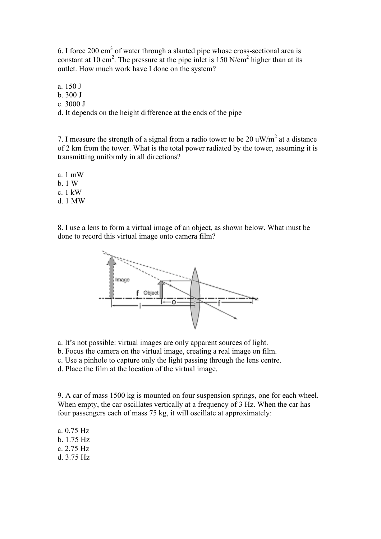6. I force 200 cm3 of water through a slanted pipe whose cross-sectional area is constant at 10 cm<sup>2</sup>. The pressure at the pipe inlet is 150  $N/cm<sup>2</sup>$  higher than at its outlet. How much work have I done on the system?

a. 150 J

b. 300 J

c. 3000 J

d. It depends on the height difference at the ends of the pipe

7. I measure the strength of a signal from a radio tower to be 20  $\mu$ W/m<sup>2</sup> at a distance of 2 km from the tower. What is the total power radiated by the tower, assuming it is transmitting uniformly in all directions?

a. 1 mW

b. 1 W

c. 1 kW

d. 1 MW

8. I use a lens to form a virtual image of an object, as shown below. What must be done to record this virtual image onto camera film?



a. It's not possible: virtual images are only apparent sources of light.

b. Focus the camera on the virtual image, creating a real image on film.

c. Use a pinhole to capture only the light passing through the lens centre.

d. Place the film at the location of the virtual image.

9. A car of mass 1500 kg is mounted on four suspension springs, one for each wheel. When empty, the car oscillates vertically at a frequency of 3 Hz. When the car has four passengers each of mass 75 kg, it will oscillate at approximately:

a. 0.75 Hz b. 1.75 Hz c. 2.75 Hz d. 3.75 Hz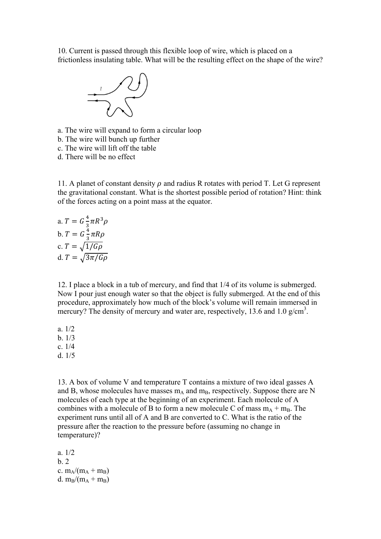10. Current is passed through this flexible loop of wire, which is placed on a frictionless insulating table. What will be the resulting effect on the shape of the wire?



a. The wire will expand to form a circular loop

- b. The wire will bunch up further
- c. The wire will lift off the table
- d. There will be no effect

11. A planet of constant density  $\rho$  and radius R rotates with period T. Let G represent the gravitational constant. What is the shortest possible period of rotation? Hint: think of the forces acting on a point mass at the equator.

a. 
$$
T = G \frac{4}{3} \pi R^3 \rho
$$
  
\nb. 
$$
T = G \frac{4}{3} \pi R \rho
$$
  
\nc. 
$$
T = \sqrt{1/G\rho}
$$
  
\nd. 
$$
T = \sqrt{3\pi/G\rho}
$$

12. I place a block in a tub of mercury, and find that 1/4 of its volume is submerged. Now I pour just enough water so that the object is fully submerged. At the end of this procedure, approximately how much of the block's volume will remain immersed in mercury? The density of mercury and water are, respectively, 13.6 and 1.0  $g/cm<sup>3</sup>$ .

- a. 1/2 b. 1/3
- c. 1/4
- d. 1/5

13. A box of volume V and temperature T contains a mixture of two ideal gasses A and B, whose molecules have masses  $m_A$  and  $m_B$ , respectively. Suppose there are N molecules of each type at the beginning of an experiment. Each molecule of A combines with a molecule of B to form a new molecule C of mass  $m_A + m_B$ . The experiment runs until all of A and B are converted to C. What is the ratio of the pressure after the reaction to the pressure before (assuming no change in temperature)?

a. 1/2  $h<sub>2</sub>$ c.  $m_A/(m_A + m_B)$ d.  $m_B/(m_A + m_B)$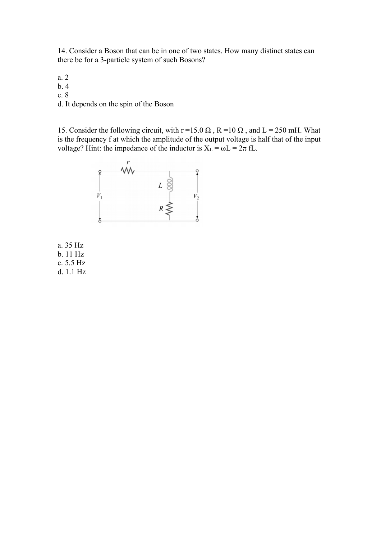14. Consider a Boson that can be in one of two states. How many distinct states can there be for a 3-particle system of such Bosons?

a. 2 b. 4 c. 8

d. It depends on the spin of the Boson

15. Consider the following circuit, with r =15.0  $\Omega$ , R =10  $\Omega$ , and L = 250 mH. What is the frequency f at which the amplitude of the output voltage is half that of the input voltage? Hint: the impedance of the inductor is  $X_L = \omega L = 2\pi fL$ .



a. 35 Hz b. 11 Hz c. 5.5 Hz d. 1.1 Hz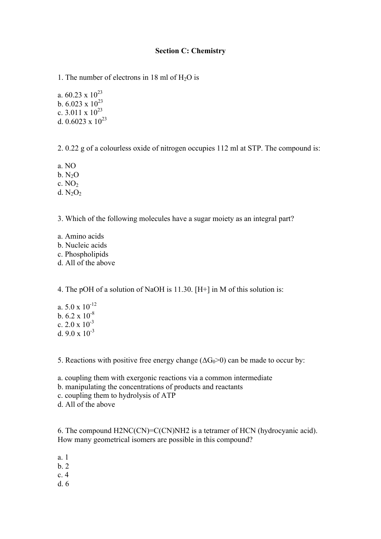### **Section C: Chemistry**

1. The number of electrons in 18 ml of  $H<sub>2</sub>O$  is

a.  $60.23 \times 10^{23}$ b.  $6.023 \times 10^{23}$ c.  $3.011 \times 10^{23}$ d. 0.6023 x  $10^{23}$ 

2. 0.22 g of a colourless oxide of nitrogen occupies 112 ml at STP. The compound is:

a. NO

 $b. N<sub>2</sub>O$ 

c.  $NO<sub>2</sub>$ 

d.  $N_2O_2$ 

3. Which of the following molecules have a sugar moiety as an integral part?

- a. Amino acids
- b. Nucleic acids
- c. Phospholipids
- d. All of the above

4. The pOH of a solution of NaOH is 11.30. [H+] in M of this solution is:

a.  $5.0 \times 10^{-12}$ b.  $6.2 \times 10^{-8}$ c.  $2.0 \times 10^{-3}$ d. 9.0  $\times$  10<sup>-3</sup>

5. Reactions with positive free energy change  $(\Delta G_0>0)$  can be made to occur by:

a. coupling them with exergonic reactions via a common intermediate

b. manipulating the concentrations of products and reactants

- c. coupling them to hydrolysis of ATP
- d. All of the above

6. The compound H2NC(CN)=C(CN)NH2 is a tetramer of HCN (hydrocyanic acid). How many geometrical isomers are possible in this compound?

- a. 1
- b. 2
- c. 4
- d. 6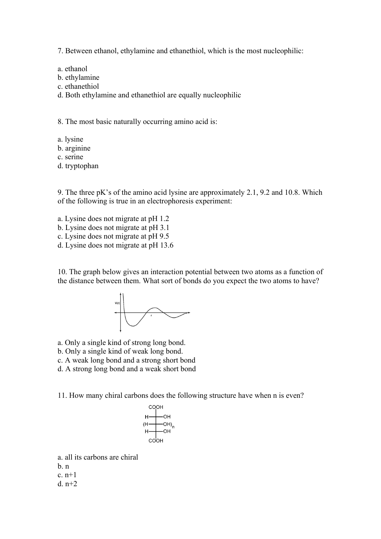7. Between ethanol, ethylamine and ethanethiol, which is the most nucleophilic:

a. ethanol

- b. ethylamine
- c. ethanethiol

d. Both ethylamine and ethanethiol are equally nucleophilic

8. The most basic naturally occurring amino acid is:

- a. lysine
- b. arginine
- c. serine
- d. tryptophan

9. The three pK's of the amino acid lysine are approximately 2.1, 9.2 and 10.8. Which of the following is true in an electrophoresis experiment:

- a. Lysine does not migrate at pH 1.2
- b. Lysine does not migrate at pH 3.1
- c. Lysine does not migrate at pH 9.5
- d. Lysine does not migrate at pH 13.6

10. The graph below gives an interaction potential between two atoms as a function of the distance between them. What sort of bonds do you expect the two atoms to have?



- a. Only a single kind of strong long bond.
- b. Only a single kind of weak long bond.
- c. A weak long bond and a strong short bond
- d. A strong long bond and a weak short bond

11. How many chiral carbons does the following structure have when n is even?



a. all its carbons are chiral

b. n

c. n+1

d.  $n+2$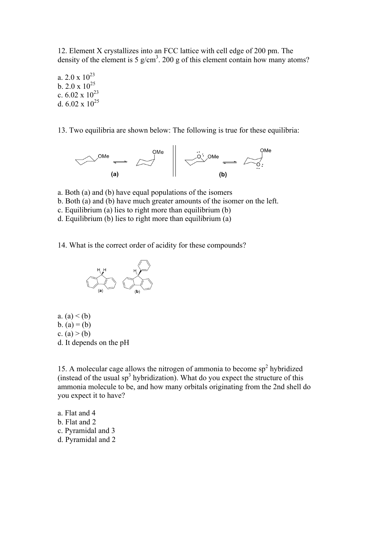12. Element X crystallizes into an FCC lattice with cell edge of 200 pm. The density of the element is 5  $g/cm<sup>3</sup>$ . 200 g of this element contain how many atoms?

a.  $2.0 \times 10^{23}$ b.  $2.0 \times 10^{25}$ c.  $6.02 \times 10^{23}$ d.  $6.02 \times 10^{25}$ 

13. Two equilibria are shown below: The following is true for these equilibria:



- a. Both (a) and (b) have equal populations of the isomers
- b. Both (a) and (b) have much greater amounts of the isomer on the left.
- c. Equilibrium (a) lies to right more than equilibrium (b)
- d. Equilibrium (b) lies to right more than equilibrium (a)
- 14. What is the correct order of acidity for these compounds?



a.  $(a) < (b)$ b.  $(a) = (b)$ c.  $(a) > (b)$ d. It depends on the pH

15. A molecular cage allows the nitrogen of ammonia to become  $sp<sup>2</sup>$  hybridized (instead of the usual  $sp<sup>3</sup>$  hybridization). What do you expect the structure of this ammonia molecule to be, and how many orbitals originating from the 2nd shell do you expect it to have?

- a. Flat and 4
- b. Flat and 2
- c. Pyramidal and 3
- d. Pyramidal and 2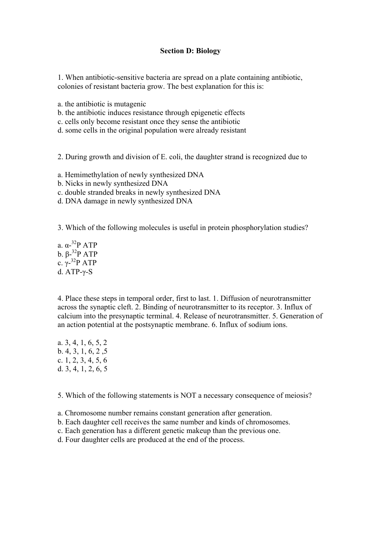### **Section D: Biology**

1. When antibiotic-sensitive bacteria are spread on a plate containing antibiotic, colonies of resistant bacteria grow. The best explanation for this is:

a. the antibiotic is mutagenic

- b. the antibiotic induces resistance through epigenetic effects
- c. cells only become resistant once they sense the antibiotic
- d. some cells in the original population were already resistant

2. During growth and division of E. coli, the daughter strand is recognized due to

- a. Hemimethylation of newly synthesized DNA
- b. Nicks in newly synthesized DNA
- c. double stranded breaks in newly synthesized DNA
- d. DNA damage in newly synthesized DNA

3. Which of the following molecules is useful in protein phosphorylation studies?

a. α-32P ATP b. β- $32P$  ATP c.  $\gamma$ -<sup>32</sup>P ATP d. ATP-γ-S

4. Place these steps in temporal order, first to last. 1. Diffusion of neurotransmitter across the synaptic cleft. 2. Binding of neurotransmitter to its receptor. 3. Influx of calcium into the presynaptic terminal. 4. Release of neurotransmitter. 5. Generation of an action potential at the postsynaptic membrane. 6. Influx of sodium ions.

a. 3, 4, 1, 6, 5, 2 b. 4, 3, 1, 6, 2 ,5 c. 1, 2, 3, 4, 5, 6 d. 3, 4, 1, 2, 6, 5

5. Which of the following statements is NOT a necessary consequence of meiosis?

- a. Chromosome number remains constant generation after generation.
- b. Each daughter cell receives the same number and kinds of chromosomes.
- c. Each generation has a different genetic makeup than the previous one.
- d. Four daughter cells are produced at the end of the process.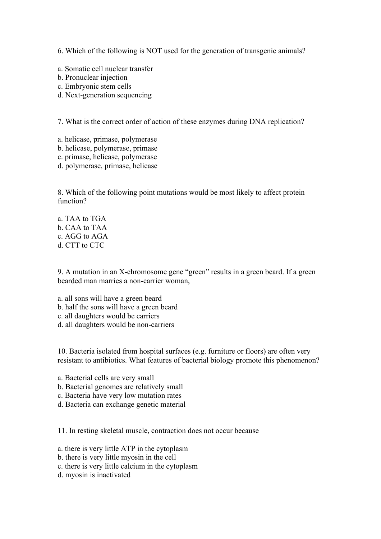6. Which of the following is NOT used for the generation of transgenic animals?

- a. Somatic cell nuclear transfer
- b. Pronuclear injection
- c. Embryonic stem cells
- d. Next-generation sequencing

7. What is the correct order of action of these enzymes during DNA replication?

- a. helicase, primase, polymerase
- b. helicase, polymerase, primase
- c. primase, helicase, polymerase
- d. polymerase, primase, helicase

8. Which of the following point mutations would be most likely to affect protein function?

a. TAA to TGA b. CAA to TAA c. AGG to AGA d. CTT to CTC

9. A mutation in an X-chromosome gene "green" results in a green beard. If a green bearded man marries a non-carrier woman,

- a. all sons will have a green beard
- b. half the sons will have a green beard
- c. all daughters would be carriers
- d. all daughters would be non-carriers

10. Bacteria isolated from hospital surfaces (e.g. furniture or floors) are often very resistant to antibiotics. What features of bacterial biology promote this phenomenon?

- a. Bacterial cells are very small
- b. Bacterial genomes are relatively small
- c. Bacteria have very low mutation rates
- d. Bacteria can exchange genetic material

11. In resting skeletal muscle, contraction does not occur because

- a. there is very little ATP in the cytoplasm
- b. there is very little myosin in the cell
- c. there is very little calcium in the cytoplasm
- d. myosin is inactivated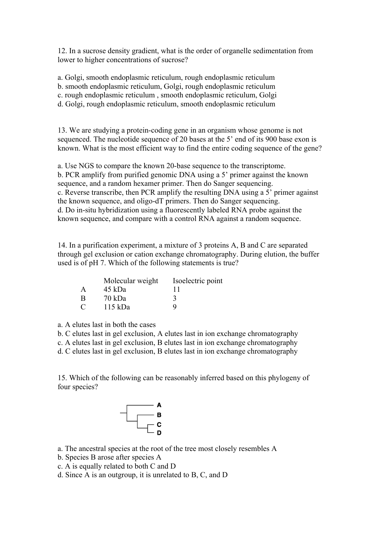12. In a sucrose density gradient, what is the order of organelle sedimentation from lower to higher concentrations of sucrose?

a. Golgi, smooth endoplasmic reticulum, rough endoplasmic reticulum

b. smooth endoplasmic reticulum, Golgi, rough endoplasmic reticulum

c. rough endoplasmic reticulum , smooth endoplasmic reticulum, Golgi

d. Golgi, rough endoplasmic reticulum, smooth endoplasmic reticulum

13. We are studying a protein-coding gene in an organism whose genome is not sequenced. The nucleotide sequence of 20 bases at the 5' end of its 900 base exon is known. What is the most efficient way to find the entire coding sequence of the gene?

a. Use NGS to compare the known 20-base sequence to the transcriptome. b. PCR amplify from purified genomic DNA using a 5' primer against the known sequence, and a random hexamer primer. Then do Sanger sequencing. c. Reverse transcribe, then PCR amplify the resulting DNA using a 5' primer against the known sequence, and oligo-dT primers. Then do Sanger sequencing. d. Do in-situ hybridization using a fluorescently labeled RNA probe against the known sequence, and compare with a control RNA against a random sequence.

14. In a purification experiment, a mixture of 3 proteins A, B and C are separated through gel exclusion or cation exchange chromatography. During elution, the buffer used is of pH 7. Which of the following statements is true?

|   | Molecular weight | Isoelectric point |
|---|------------------|-------------------|
| A | 45 kDa           | 11                |
| Β | 70 kDa           |                   |
| С | 115 kDa          | Q                 |

a. A elutes last in both the cases

b. C elutes last in gel exclusion, A elutes last in ion exchange chromatography

c. A elutes last in gel exclusion, B elutes last in ion exchange chromatography

d. C elutes last in gel exclusion, B elutes last in ion exchange chromatography

15. Which of the following can be reasonably inferred based on this phylogeny of four species?



a. The ancestral species at the root of the tree most closely resembles A

- b. Species B arose after species A
- c. A is equally related to both C and D

d. Since A is an outgroup, it is unrelated to B, C, and D